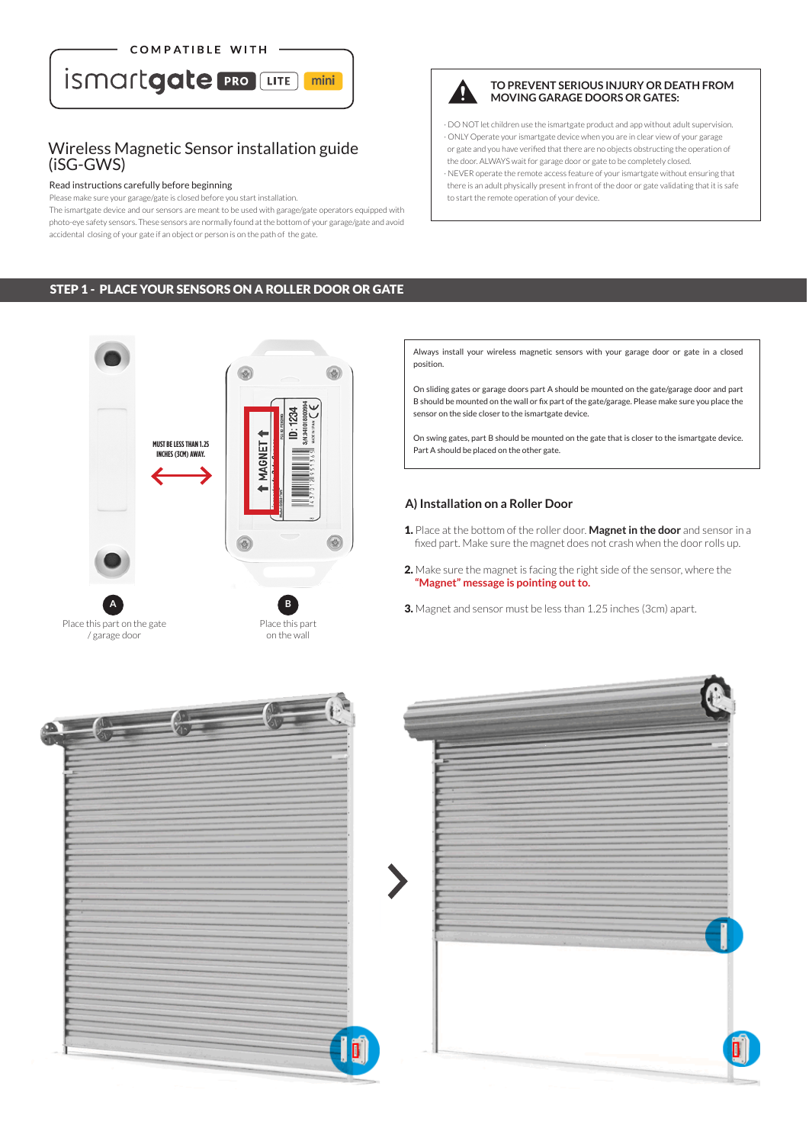

## Wireless Magnetic Sensor installation guide (iSG-GWS)

#### Read instructions carefully before beginning

Please make sure your garage/gate is closed before you start installation.

The ismartgate device and our sensors are meant to be used with garage/gate operators equipped with photo-eye safety sensors. These sensors are normally found at the bottom of your garage/gate and avoid accidental closing of your gate if an object or person is on the path of the gate.



#### **TO PREVENT SERIOUS INJURY OR DEATH FROM MOVING GARAGE DOORS OR GATES:**

· DO NOT let children use the ismartgate product and app without adult supervision. · ONLY Operate your ismartgate device when you are in clear view of your garage or gate and you have verified that there are no objects obstructing the operation of the door. ALWAYS wait for garage door or gate to be completely closed.

· NEVER operate the remote access feature of your ismartgate without ensuring that there is an adult physically present in front of the door or gate validating that it is safe to start the remote operation of your device.

## STEP 1 - PLACE YOUR SENSORS ON A ROLLER DOOR OR GATE



Always install your wireless magnetic sensors with your garage door or gate in a closed position.

On sliding gates or garage doors part A should be mounted on the gate/garage door and part B should be mounted on the wall or fix part of the gate/garage. Please make sure you place the sensor on the side closer to the ismartgate device.

On swing gates, part B should be mounted on the gate that is closer to the ismartgate device. Part A should be placed on the other gate.

#### **A) Installation on a Roller Door**

- 1. Place at the bottom of the roller door. **Magnet in the door** and sensor in a fixed part. Make sure the magnet does not crash when the door rolls up.
- 2. Make sure the magnet is facing the right side of the sensor, where the  **"Magnet" message is pointing out to.**
- 3. Magnet and sensor must be less than 1.25 inches (3cm) apart.



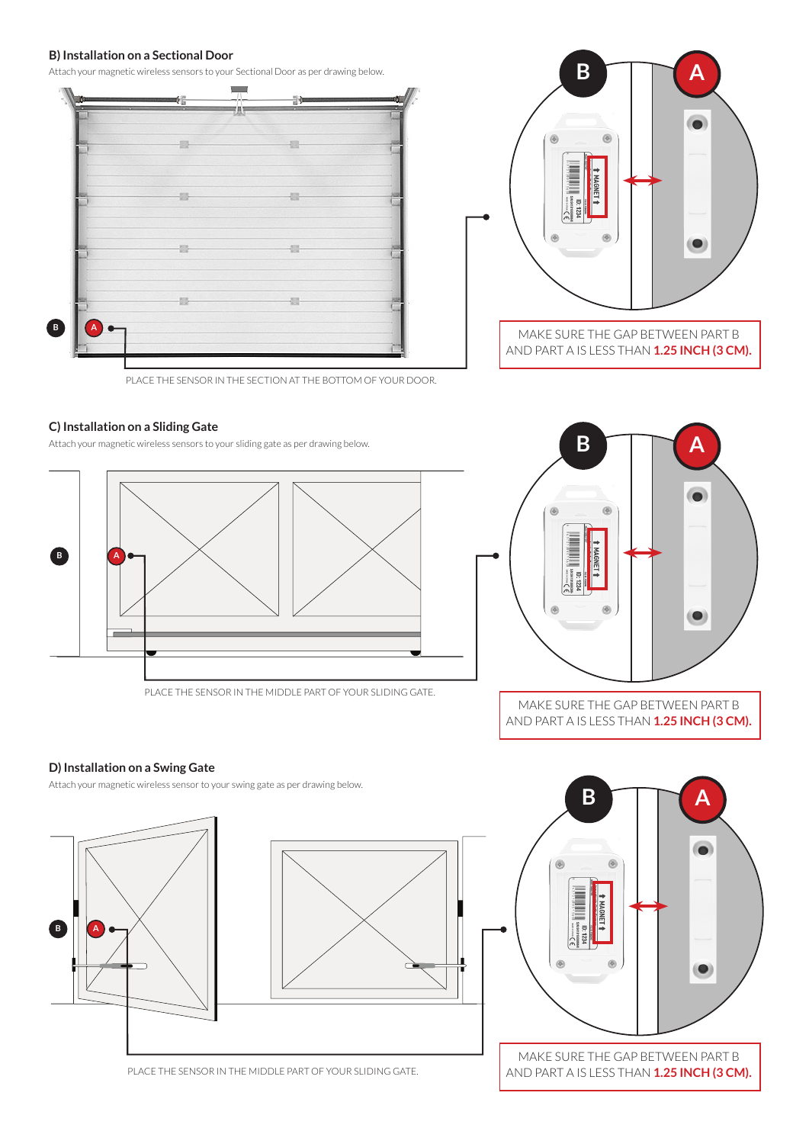### **B) Installation on a Sectional Door**

Attach your magnetic wireless sensors to your Sectional Door as per drawing below.





PLACE THE SENSOR IN THE SECTION AT THE BOTTOM OF YOUR DOOR.

### **C) Installation on a Sliding Gate**

Attach your magnetic wireless sensors to your sliding gate as per drawing below.



PLACE THE SENSOR IN THE MIDDLE PART OF YOUR SLIDING GATE.



AND PART A IS LESS THAN **1.25 INCH (3 CM).**

## **D) Installation on a Swing Gate**

Attach your magnetic wireless sensor to your swing gate as per drawing below.



PLACE THE SENSOR IN THE MIDDLE PART OF YOUR SLIDING GATE.

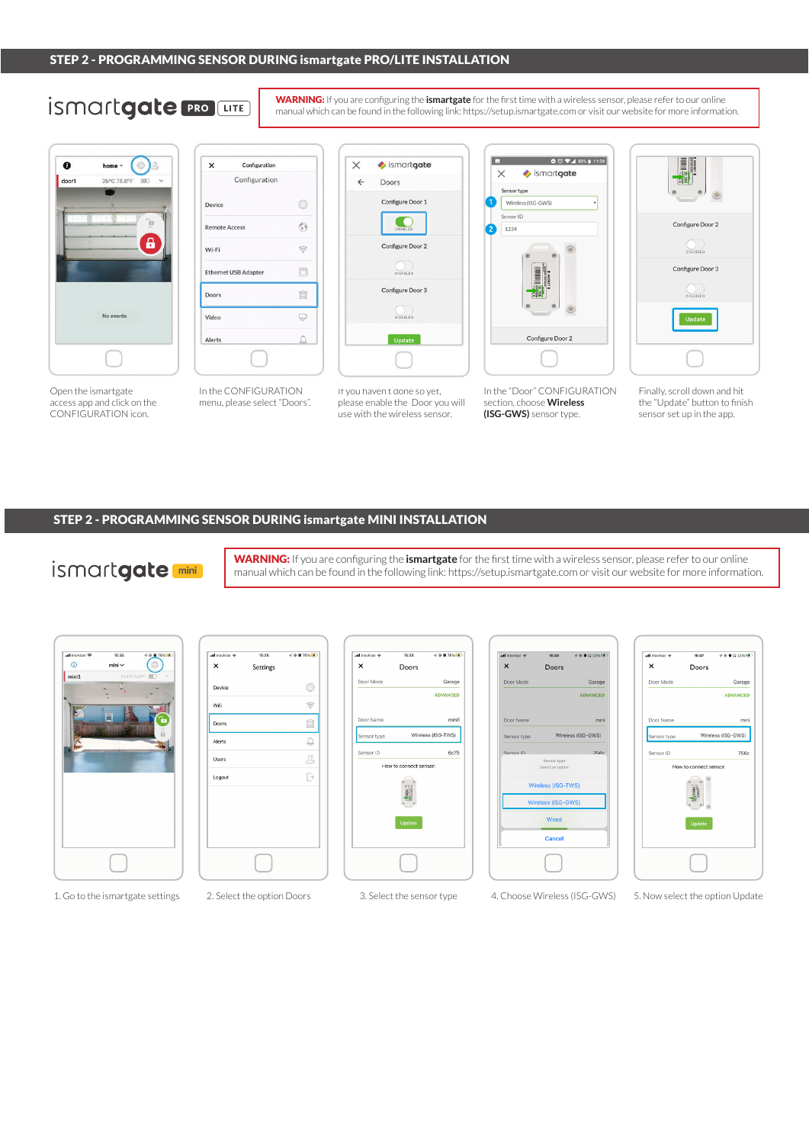# **ismartgate PRO LITE**

WARNING: If you are configuring the **ismartgate** for the first time with a wireless sensor, please refer to our online manual which can be found in the following link: https://setup.ismartgate.com or visit our website for more information.



Open the ismartgate access app and click on the CONFIGURATION icon.



In the CONFIGURATION menu, please select "Doors".



If you haven't done so yet, please enable the Door you will use with the wireless sensor.



In the "Door" CONFIGURATION section, choose **Wireless (ISG-GWS)** sensor type.



Finally, scroll down and hit the "Update" button to finish sensor set up in the app.

### STEP 2 - PROGRAMMING SENSOR DURING ismartgate MINI INSTALLATION

## ismartgate<sup>[mini]</sup>

WARNING: If you are configuring the **ismartgate** for the first time with a wireless sensor, please refer to our online manual which can be found in the following link: https://setup.ismartgate.com or visit our website for more information.

| all movistar <b>空</b> | 15:35 | 407800                  |
|-----------------------|-------|-------------------------|
| $\circledcirc$        | mini  | Ô                       |
| mini1                 |       | 13.8°C 56.8°F III)<br>× |
|                       | Y)    |                         |
|                       |       |                         |
|                       |       |                         |
|                       |       | ī                       |
|                       |       |                         |
|                       |       |                         |
|                       |       |                         |
|                       |       |                         |
|                       |       |                         |
|                       |       |                         |
|                       |       |                         |
|                       |       |                         |
|                       |       |                         |
|                       |       |                         |
|                       |       |                         |
|                       |       |                         |









1. Go to the ismartgate settings 2. Select the option Doors 3. Select the sensor type 4. Choose Wireless (ISG-GWS) 5. Now select the option Update